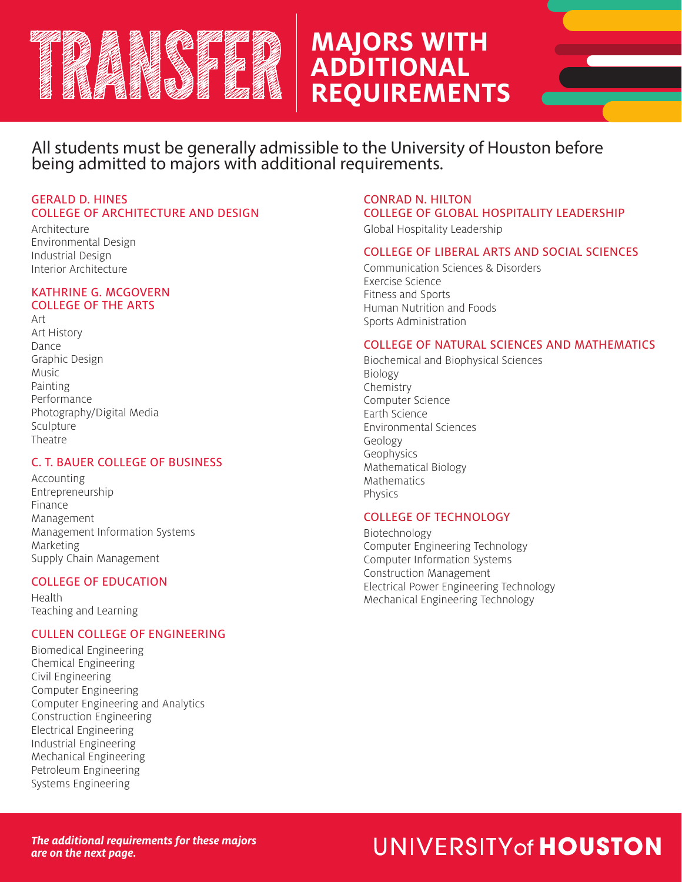# **MAJORS WITH ADDITIONAL REQUIREMENTS**

All students must be generally admissible to the University of Houston before being admitted to majors with additional requirements.

# GERALD D. HINES COLLEGE OF ARCHITECTURE AND DESIGN

Architecture Environmental Design Industrial Design Interior Architecture

## KATHRINE G. MCGOVERN COLLEGE OF THE ARTS

Art Art History Dance Graphic Design Music Painting Performance Photography/Digital Media Sculpture Theatre

# C. T. BAUER COLLEGE OF BUSINESS

Accounting Entrepreneurship Finance Management Management Information Systems Marketing Supply Chain Management

# COLLEGE OF EDUCATION

Health Teaching and Learning

# CULLEN COLLEGE OF ENGINEERING

Biomedical Engineering Chemical Engineering Civil Engineering Computer Engineering Computer Engineering and Analytics Construction Engineering Electrical Engineering Industrial Engineering Mechanical Engineering Petroleum Engineering Systems Engineering

# CONRAD N. HILTON COLLEGE OF GLOBAL HOSPITALITY LEADERSHIP

Global Hospitality Leadership

# COLLEGE OF LIBERAL ARTS AND SOCIAL SCIENCES

Communication Sciences & Disorders Exercise Science Fitness and Sports Human Nutrition and Foods Sports Administration

## COLLEGE OF NATURAL SCIENCES AND MATHEMATICS

Biochemical and Biophysical Sciences Biology Chemistry Computer Science Earth Science Environmental Sciences Geology Geophysics Mathematical Biology Mathematics Physics

# COLLEGE OF TECHNOLOGY

Biotechnology Computer Engineering Technology Computer Information Systems Construction Management Electrical Power Engineering Technology Mechanical Engineering Technology

# UNIVERSITY of HOUSTON

*The additional requirements for these majors are on the next page.*